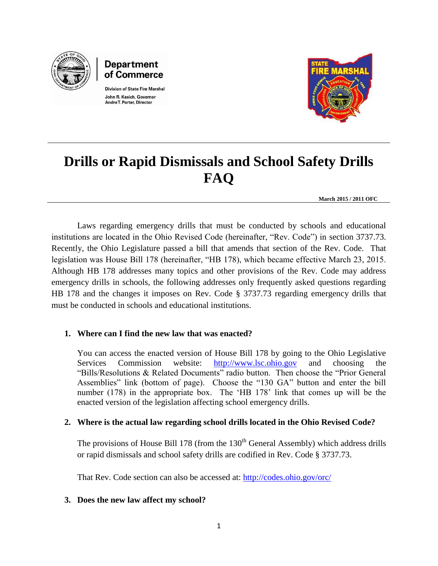



**Division of State Fire Marshal** John R. Kasich, Governor Andre T. Porter, Director



# **Drills or Rapid Dismissals and School Safety Drills FAQ**

**March 2015 / 2011 OFC**

Laws regarding emergency drills that must be conducted by schools and educational institutions are located in the Ohio Revised Code (hereinafter, "Rev. Code") in section 3737.73. Recently, the Ohio Legislature passed a bill that amends that section of the Rev. Code. That legislation was House Bill 178 (hereinafter, "HB 178), which became effective March 23, 2015. Although HB 178 addresses many topics and other provisions of the Rev. Code may address emergency drills in schools, the following addresses only frequently asked questions regarding HB 178 and the changes it imposes on Rev. Code § 3737.73 regarding emergency drills that must be conducted in schools and educational institutions.

# **1. Where can I find the new law that was enacted?**

You can access the enacted version of House Bill 178 by going to the Ohio Legislative Services Commission website: [http://www.lsc.ohio.gov](http://www.lsc.ohio.gov/) and choosing the "Bills/Resolutions & Related Documents" radio button. Then choose the "Prior General Assemblies" link (bottom of page). Choose the "130 GA" button and enter the bill number (178) in the appropriate box. The 'HB 178' link that comes up will be the enacted version of the legislation affecting school emergency drills.

# **2. Where is the actual law regarding school drills located in the Ohio Revised Code?**

The provisions of House Bill 178 (from the  $130<sup>th</sup>$  General Assembly) which address drills or rapid dismissals and school safety drills are codified in Rev. Code § 3737.73.

That Rev. Code section can also be accessed at:<http://codes.ohio.gov/orc/>

## **3. Does the new law affect my school?**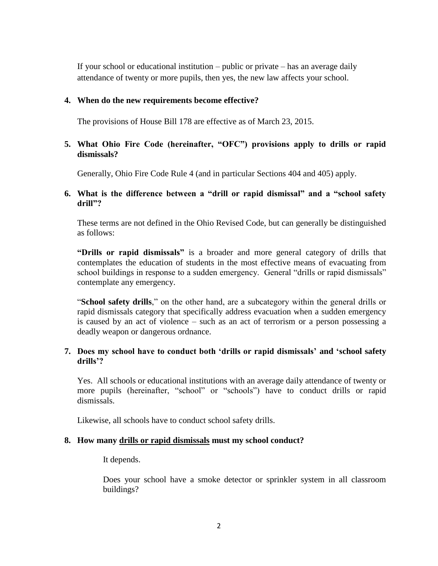If your school or educational institution – public or private – has an average daily attendance of twenty or more pupils, then yes, the new law affects your school.

#### **4. When do the new requirements become effective?**

The provisions of House Bill 178 are effective as of March 23, 2015.

**5. What Ohio Fire Code (hereinafter, "OFC") provisions apply to drills or rapid dismissals?**

Generally, Ohio Fire Code Rule 4 (and in particular Sections 404 and 405) apply.

## **6. What is the difference between a "drill or rapid dismissal" and a "school safety drill"?**

These terms are not defined in the Ohio Revised Code, but can generally be distinguished as follows:

**"Drills or rapid dismissals"** is a broader and more general category of drills that contemplates the education of students in the most effective means of evacuating from school buildings in response to a sudden emergency. General "drills or rapid dismissals" contemplate any emergency.

"**School safety drills**," on the other hand, are a subcategory within the general drills or rapid dismissals category that specifically address evacuation when a sudden emergency is caused by an act of violence – such as an act of terrorism or a person possessing a deadly weapon or dangerous ordnance.

## **7. Does my school have to conduct both 'drills or rapid dismissals' and 'school safety drills'?**

Yes. All schools or educational institutions with an average daily attendance of twenty or more pupils (hereinafter, "school" or "schools") have to conduct drills or rapid dismissals.

Likewise, all schools have to conduct school safety drills.

## **8. How many drills or rapid dismissals must my school conduct?**

It depends.

Does your school have a smoke detector or sprinkler system in all classroom buildings?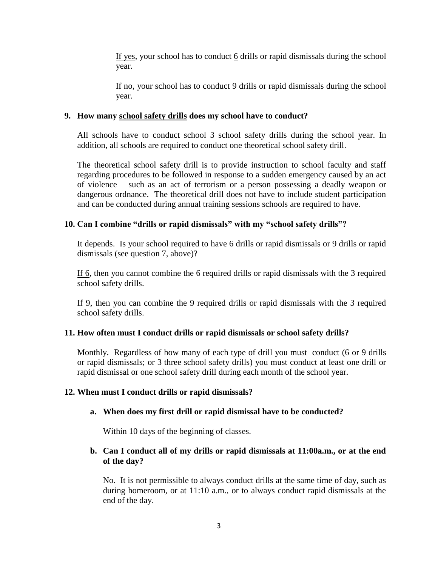If yes, your school has to conduct 6 drills or rapid dismissals during the school year.

If no, your school has to conduct  $9$  drills or rapid dismissals during the school year.

## **9. How many school safety drills does my school have to conduct?**

All schools have to conduct school 3 school safety drills during the school year. In addition, all schools are required to conduct one theoretical school safety drill.

The theoretical school safety drill is to provide instruction to school faculty and staff regarding procedures to be followed in response to a sudden emergency caused by an act of violence – such as an act of terrorism or a person possessing a deadly weapon or dangerous ordnance. The theoretical drill does not have to include student participation and can be conducted during annual training sessions schools are required to have.

# **10. Can I combine "drills or rapid dismissals" with my "school safety drills"?**

It depends. Is your school required to have 6 drills or rapid dismissals or 9 drills or rapid dismissals (see question 7, above)?

If 6, then you cannot combine the 6 required drills or rapid dismissals with the 3 required school safety drills.

If 9, then you can combine the 9 required drills or rapid dismissals with the 3 required school safety drills.

## **11. How often must I conduct drills or rapid dismissals or school safety drills?**

Monthly. Regardless of how many of each type of drill you must conduct (6 or 9 drills or rapid dismissals; or 3 three school safety drills) you must conduct at least one drill or rapid dismissal or one school safety drill during each month of the school year.

## **12. When must I conduct drills or rapid dismissals?**

# **a. When does my first drill or rapid dismissal have to be conducted?**

Within 10 days of the beginning of classes.

## **b. Can I conduct all of my drills or rapid dismissals at 11:00a.m., or at the end of the day?**

No.It is not permissible to always conduct drills at the same time of day, such as during homeroom, or at 11:10 a.m., or to always conduct rapid dismissals at the end of the day.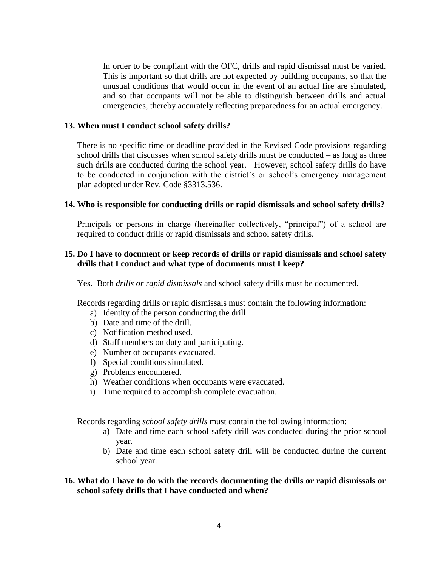In order to be compliant with the OFC, drills and rapid dismissal must be varied. This is important so that drills are not expected by building occupants, so that the unusual conditions that would occur in the event of an actual fire are simulated, and so that occupants will not be able to distinguish between drills and actual emergencies, thereby accurately reflecting preparedness for an actual emergency.

#### **13. When must I conduct school safety drills?**

There is no specific time or deadline provided in the Revised Code provisions regarding school drills that discusses when school safety drills must be conducted – as long as three such drills are conducted during the school year. However, school safety drills do have to be conducted in conjunction with the district's or school's emergency management plan adopted under Rev. Code §3313.536.

#### **14. Who is responsible for conducting drills or rapid dismissals and school safety drills?**

Principals or persons in charge (hereinafter collectively, "principal") of a school are required to conduct drills or rapid dismissals and school safety drills.

## **15. Do I have to document or keep records of drills or rapid dismissals and school safety drills that I conduct and what type of documents must I keep?**

Yes. Both *drills or rapid dismissals* and school safety drills must be documented.

Records regarding drills or rapid dismissals must contain the following information:

- a) Identity of the person conducting the drill.
- b) Date and time of the drill.
- c) Notification method used.
- d) Staff members on duty and participating.
- e) Number of occupants evacuated.
- f) Special conditions simulated.
- g) Problems encountered.
- h) Weather conditions when occupants were evacuated.
- i) Time required to accomplish complete evacuation.

Records regarding *school safety drills* must contain the following information:

- a) Date and time each school safety drill was conducted during the prior school year.
- b) Date and time each school safety drill will be conducted during the current school year.

## **16. What do I have to do with the records documenting the drills or rapid dismissals or school safety drills that I have conducted and when?**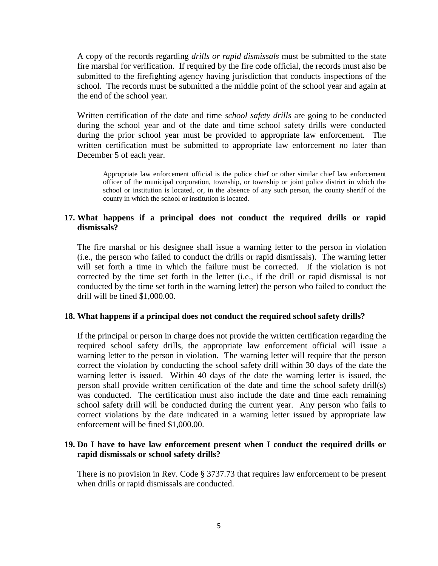A copy of the records regarding *drills or rapid dismissals* must be submitted to the state fire marshal for verification. If required by the fire code official, the records must also be submitted to the firefighting agency having jurisdiction that conducts inspections of the school. The records must be submitted a the middle point of the school year and again at the end of the school year.

Written certification of the date and time *school safety drills* are going to be conducted during the school year and of the date and time school safety drills were conducted during the prior school year must be provided to appropriate law enforcement. The written certification must be submitted to appropriate law enforcement no later than December 5 of each year.

Appropriate law enforcement official is the police chief or other similar chief law enforcement officer of the municipal corporation, township, or township or joint police district in which the school or institution is located, or, in the absence of any such person, the county sheriff of the county in which the school or institution is located.

## **17. What happens if a principal does not conduct the required drills or rapid dismissals?**

The fire marshal or his designee shall issue a warning letter to the person in violation (i.e., the person who failed to conduct the drills or rapid dismissals). The warning letter will set forth a time in which the failure must be corrected. If the violation is not corrected by the time set forth in the letter (i.e., if the drill or rapid dismissal is not conducted by the time set forth in the warning letter) the person who failed to conduct the drill will be fined \$1,000.00.

## **18. What happens if a principal does not conduct the required school safety drills?**

If the principal or person in charge does not provide the written certification regarding the required school safety drills, the appropriate law enforcement official will issue a warning letter to the person in violation. The warning letter will require that the person correct the violation by conducting the school safety drill within 30 days of the date the warning letter is issued. Within 40 days of the date the warning letter is issued, the person shall provide written certification of the date and time the school safety drill(s) was conducted. The certification must also include the date and time each remaining school safety drill will be conducted during the current year. Any person who fails to correct violations by the date indicated in a warning letter issued by appropriate law enforcement will be fined \$1,000.00.

## **19. Do I have to have law enforcement present when I conduct the required drills or rapid dismissals or school safety drills?**

There is no provision in Rev. Code § 3737.73 that requires law enforcement to be present when drills or rapid dismissals are conducted.